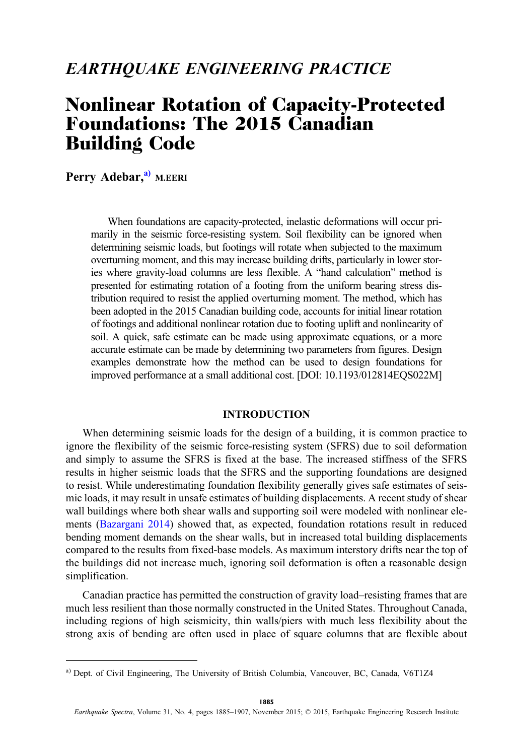# EARTHQUAKE ENGINEERING PRACTICE

# Nonlinear Rotation of Capacity-Protected Foundations: The 2015 Canadian Building Code

Perry Adebar,<sup>a)</sup> M.EERI

When foundations are capacity-protected, inelastic deformations will occur primarily in the seismic force-resisting system. Soil flexibility can be ignored when determining seismic loads, but footings will rotate when subjected to the maximum overturning moment, and this may increase building drifts, particularly in lower stories where gravity-load columns are less flexible. A "hand calculation" method is presented for estimating rotation of a footing from the uniform bearing stress distribution required to resist the applied overturning moment. The method, which has been adopted in the 2015 Canadian building code, accounts for initial linear rotation of footings and additional nonlinear rotation due to footing uplift and nonlinearity of soil. A quick, safe estimate can be made using approximate equations, or a more accurate estimate can be made by determining two parameters from figures. Design examples demonstrate how the method can be used to design foundations for improved performance at a small additional cost. [DOI: 10.1193/012814EQS022M]

# INTRODUCTION

When determining seismic loads for the design of a building, it is common practice to ignore the flexibility of the seismic force-resisting system (SFRS) due to soil deformation and simply to assume the SFRS is fixed at the base. The increased stiffness of the SFRS results in higher seismic loads that the SFRS and the supporting foundations are designed to resist. While underestimating foundation flexibility generally gives safe estimates of seismic loads, it may result in unsafe estimates of building displacements. A recent study of shear wall buildings where both shear walls and supporting soil were modeled with nonlinear elements ([Bazargani 2014\)](#page-21-0) showed that, as expected, foundation rotations result in reduced bending moment demands on the shear walls, but in increased total building displacements compared to the results from fixed-base models. As maximum interstory drifts near the top of the buildings did not increase much, ignoring soil deformation is often a reasonable design simplification.

Canadian practice has permitted the construction of gravity load–resisting frames that are much less resilient than those normally constructed in the United States. Throughout Canada, including regions of high seismicity, thin walls/piers with much less flexibility about the strong axis of bending are often used in place of square columns that are flexible about

a) Dept. of Civil Engineering, The University of British Columbia, Vancouver, BC, Canada, V6T1Z4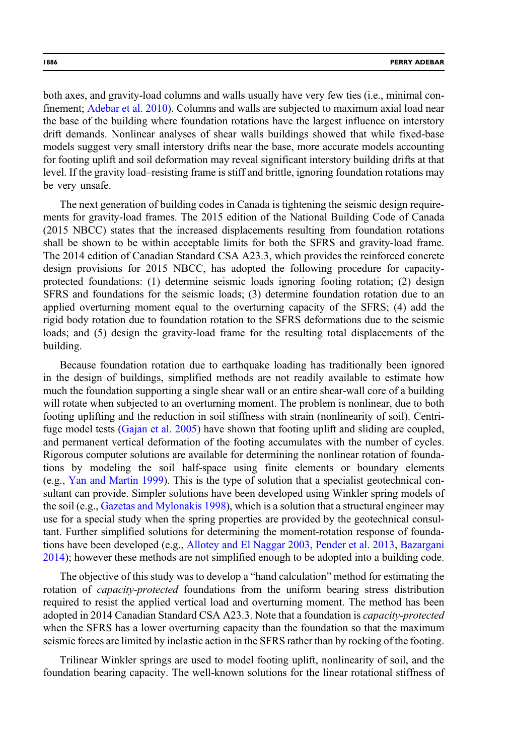both axes, and gravity-load columns and walls usually have very few ties (i.e., minimal confinement; [Adebar et al. 2010\)](#page-21-0). Columns and walls are subjected to maximum axial load near the base of the building where foundation rotations have the largest influence on interstory drift demands. Nonlinear analyses of shear walls buildings showed that while fixed-base models suggest very small interstory drifts near the base, more accurate models accounting for footing uplift and soil deformation may reveal significant interstory building drifts at that level. If the gravity load–resisting frame is stiff and brittle, ignoring foundation rotations may be very unsafe.

The next generation of building codes in Canada is tightening the seismic design requirements for gravity-load frames. The 2015 edition of the National Building Code of Canada (2015 NBCC) states that the increased displacements resulting from foundation rotations shall be shown to be within acceptable limits for both the SFRS and gravity-load frame. The 2014 edition of Canadian Standard CSA A23.3, which provides the reinforced concrete design provisions for 2015 NBCC, has adopted the following procedure for capacityprotected foundations: (1) determine seismic loads ignoring footing rotation; (2) design SFRS and foundations for the seismic loads; (3) determine foundation rotation due to an applied overturning moment equal to the overturning capacity of the SFRS; (4) add the rigid body rotation due to foundation rotation to the SFRS deformations due to the seismic loads; and (5) design the gravity-load frame for the resulting total displacements of the building.

Because foundation rotation due to earthquake loading has traditionally been ignored in the design of buildings, simplified methods are not readily available to estimate how much the foundation supporting a single shear wall or an entire shear-wall core of a building will rotate when subjected to an overturning moment. The problem is nonlinear, due to both footing uplifting and the reduction in soil stiffness with strain (nonlinearity of soil). Centrifuge model tests ([Gajan et al. 2005\)](#page-21-0) have shown that footing uplift and sliding are coupled, and permanent vertical deformation of the footing accumulates with the number of cycles. Rigorous computer solutions are available for determining the nonlinear rotation of foundations by modeling the soil half-space using finite elements or boundary elements (e.g., [Yan and Martin 1999](#page-22-0)). This is the type of solution that a specialist geotechnical consultant can provide. Simpler solutions have been developed using Winkler spring models of the soil (e.g., [Gazetas and Mylonakis 1998\)](#page-21-0), which is a solution that a structural engineer may use for a special study when the spring properties are provided by the geotechnical consultant. Further simplified solutions for determining the moment-rotation response of foundations have been developed (e.g., [Allotey and El Naggar 2003,](#page-21-0) [Pender et al. 2013](#page-21-0), [Bazargani](#page-21-0) [2014\)](#page-21-0); however these methods are not simplified enough to be adopted into a building code.

The objective of this study was to develop a "hand calculation" method for estimating the rotation of *capacity-protected* foundations from the uniform bearing stress distribution required to resist the applied vertical load and overturning moment. The method has been adopted in 2014 Canadian Standard CSA A23.3. Note that a foundation is *capacity-protected* when the SFRS has a lower overturning capacity than the foundation so that the maximum seismic forces are limited by inelastic action in the SFRS rather than by rocking of the footing.

Trilinear Winkler springs are used to model footing uplift, nonlinearity of soil, and the foundation bearing capacity. The well-known solutions for the linear rotational stiffness of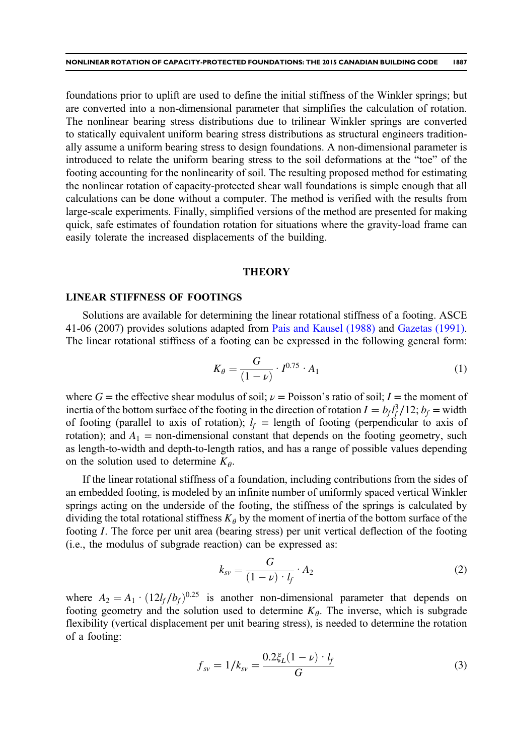<span id="page-2-0"></span>foundations prior to uplift are used to define the initial stiffness of the Winkler springs; but are converted into a non-dimensional parameter that simplifies the calculation of rotation. The nonlinear bearing stress distributions due to trilinear Winkler springs are converted to statically equivalent uniform bearing stress distributions as structural engineers traditionally assume a uniform bearing stress to design foundations. A non-dimensional parameter is introduced to relate the uniform bearing stress to the soil deformations at the "toe" of the footing accounting for the nonlinearity of soil. The resulting proposed method for estimating the nonlinear rotation of capacity-protected shear wall foundations is simple enough that all calculations can be done without a computer. The method is verified with the results from large-scale experiments. Finally, simplified versions of the method are presented for making quick, safe estimates of foundation rotation for situations where the gravity-load frame can easily tolerate the increased displacements of the building.

# **THEORY**

#### LINEAR STIFFNESS OF FOOTINGS

Solutions are available for determining the linear rotational stiffness of a footing. ASCE 41-06 (2007) provides solutions adapted from [Pais and Kausel \(1988\)](#page-21-0) and [Gazetas \(1991\).](#page-21-0) The linear rotational stiffness of a footing can be expressed in the following general form:

$$
K_{\theta} = \frac{G}{(1 - \nu)} \cdot I^{0.75} \cdot A_1
$$
 (1)

where G = the effective shear modulus of soil;  $\nu$  = Poisson's ratio of soil; I = the moment of inertia of the bottom surface of the footing in the direction of rotation  $I = b_f l_f^3 / 12$ ;  $b_f$  = width of footing (parallel to axis of rotation);  $l_f$  = length of footing (perpendicular to axis of rotation); and  $A_1$  = non-dimensional constant that depends on the footing geometry, such as length-to-width and depth-to-length ratios, and has a range of possible values depending on the solution used to determine  $K_{\theta}$ .

If the linear rotational stiffness of a foundation, including contributions from the sides of an embedded footing, is modeled by an infinite number of uniformly spaced vertical Winkler springs acting on the underside of the footing, the stiffness of the springs is calculated by dividing the total rotational stiffness  $K_{\theta}$  by the moment of inertia of the bottom surface of the footing I. The force per unit area (bearing stress) per unit vertical deflection of the footing (i.e., the modulus of subgrade reaction) can be expressed as:

$$
k_{sv} = \frac{G}{(1-\nu)\cdot l_f} \cdot A_2 \tag{2}
$$

where  $A_2 = A_1 \cdot (12l_f/b_f)^{0.25}$  is another non-dimensional parameter that depends on footing geometry and the solution used to determine  $K_{\theta}$ . The inverse, which is subgrade flexibility (vertical displacement per unit bearing stress), is needed to determine the rotation of a footing:

$$
f_{sv} = 1/k_{sv} = \frac{0.2\xi_L(1-\nu)\cdot l_f}{G} \tag{3}
$$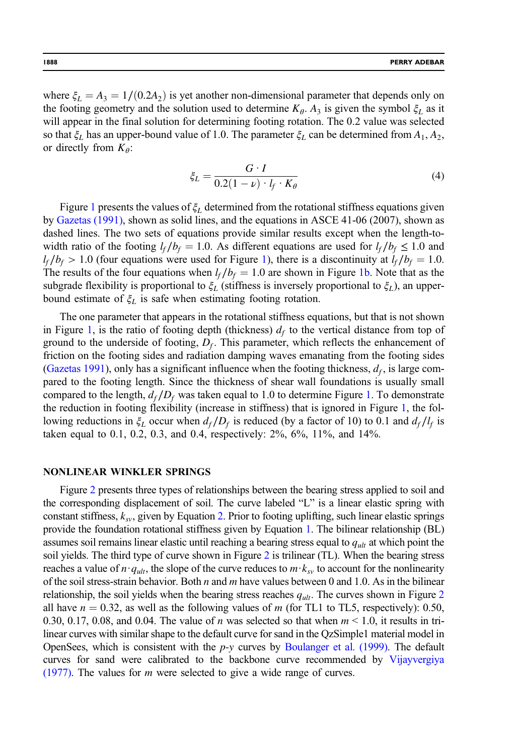<span id="page-3-0"></span>where  $\xi_L = A_3 = 1/(0.2A_2)$  is yet another non-dimensional parameter that depends only on the footing geometry and the solution used to determine  $K_{\theta}$ . A<sub>3</sub> is given the symbol  $\xi_L$  as it will appear in the final solution for determining footing rotation. The 0.2 value was selected so that  $\xi_L$  has an upper-bound value of 1.0. The parameter  $\xi_L$  can be determined from  $A_1, A_2$ , or directly from  $K_{\theta}$ :

$$
\xi_L = \frac{G \cdot I}{0.2(1 - \nu) \cdot l_f \cdot K_\theta} \tag{4}
$$

Figure [1](#page-4-0) presents the values of  $\xi_L$  determined from the rotational stiffness equations given by [Gazetas \(1991\),](#page-21-0) shown as solid lines, and the equations in ASCE 41-06 (2007), shown as dashed lines. The two sets of equations provide similar results except when the length-towidth ratio of the footing  $l_f / b_f = 1.0$ . As different equations are used for  $l_f / b_f \leq 1.0$  and  $l_f / b_f > 1.0$  (four equations were used for Figure [1\)](#page-4-0), there is a discontinuity at  $l_f / b_f = 1.0$ . The results of the four equations when  $l_f / b_f = 1.0$  are shown in Figure [1b.](#page-4-0) Note that as the subgrade flexibility is proportional to  $\xi_L$  (stiffness is inversely proportional to  $\xi_L$ ), an upperbound estimate of  $\xi_L$  is safe when estimating footing rotation.

The one parameter that appears in the rotational stiffness equations, but that is not shown in Figure [1](#page-4-0), is the ratio of footing depth (thickness)  $d_f$  to the vertical distance from top of ground to the underside of footing,  $D_f$ . This parameter, which reflects the enhancement of friction on the footing sides and radiation damping waves emanating from the footing sides [\(Gazetas 1991](#page-21-0)), only has a significant influence when the footing thickness,  $d_f$ , is large compared to the footing length. Since the thickness of shear wall foundations is usually small compared to the length,  $d_f/D_f$  was taken equal to [1.](#page-4-0)0 to determine Figure 1. To demonstrate the reduction in footing flexibility (increase in stiffness) that is ignored in Figure [1,](#page-4-0) the following reductions in  $\xi_L$  occur when  $d_f/D_f$  is reduced (by a factor of 10) to 0.1 and  $d_f/l_f$  is taken equal to 0.1, 0.2, 0.3, and 0.4, respectively: 2%, 6%, 11%, and 14%.

#### NONLINEAR WINKLER SPRINGS

Figure [2](#page-5-0) presents three types of relationships between the bearing stress applied to soil and the corresponding displacement of soil. The curve labeled "L" is a linear elastic spring with constant stiffness,  $k_{sv}$ , given by Equation [2.](#page-2-0) Prior to footing uplifting, such linear elastic springs provide the foundation rotational stiffness given by Equation [1.](#page-2-0) The bilinear relationship (BL) assumes soil remains linear elastic until reaching a bearing stress equal to  $q_{ult}$  at which point the soil yields. The third type of curve shown in Figure [2](#page-5-0) is trilinear (TL). When the bearing stress reaches a value of  $n \cdot q_{ult}$ , the slope of the curve reduces to  $m \cdot k_{sv}$  to account for the nonlinearity of the soil stress-strain behavior. Both n and m have values between 0 and 1.0. As in the bilinear relationship, the soil yields when the bearing stress reaches  $q_{ult}$ . The curves shown in Figure [2](#page-5-0) all have  $n = 0.32$ , as well as the following values of m (for TL1 to TL5, respectively): 0.50, 0.30, 0.17, 0.08, and 0.04. The value of *n* was selected so that when  $m < 1.0$ , it results in trilinear curves with similar shape to the default curve for sand in the QzSimple1 material model in OpenSees, which is consistent with the  $p-y$  curves by [Boulanger et al. \(1999\)](#page-21-0). The default curves for sand were calibrated to the backbone curve recommended by [Vijayvergiya](#page-22-0) [\(1977\).](#page-22-0) The values for  $m$  were selected to give a wide range of curves.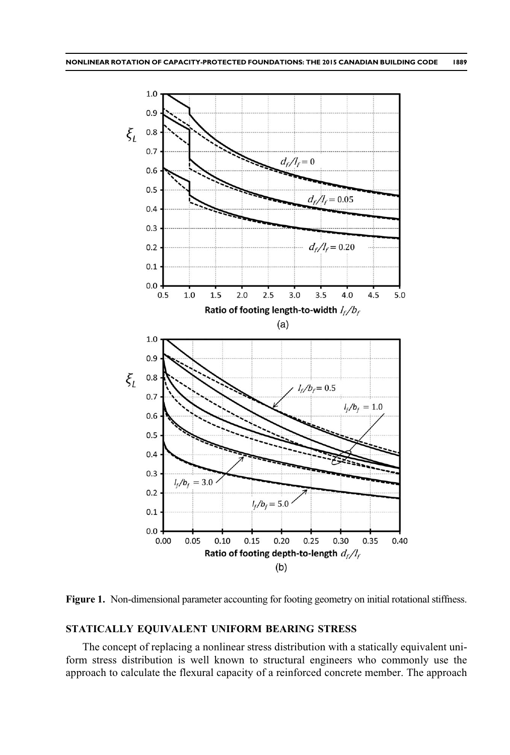<span id="page-4-0"></span>

Figure 1. Non-dimensional parameter accounting for footing geometry on initial rotational stiffness.

# STATICALLY EQUIVALENT UNIFORM BEARING STRESS

The concept of replacing a nonlinear stress distribution with a statically equivalent uniform stress distribution is well known to structural engineers who commonly use the approach to calculate the flexural capacity of a reinforced concrete member. The approach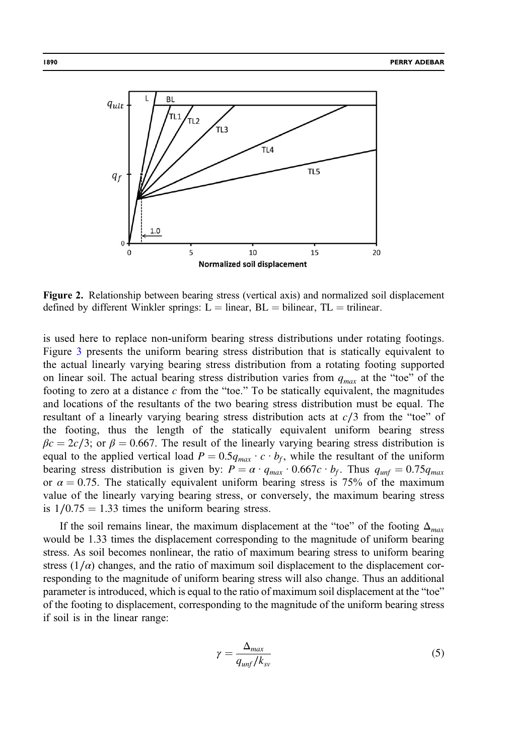<span id="page-5-0"></span>

Figure 2. Relationship between bearing stress (vertical axis) and normalized soil displacement defined by different Winkler springs:  $L =$  linear,  $BL =$  bilinear,  $TL =$  trilinear.

is used here to replace non-uniform bearing stress distributions under rotating footings. Figure [3](#page-6-0) presents the uniform bearing stress distribution that is statically equivalent to the actual linearly varying bearing stress distribution from a rotating footing supported on linear soil. The actual bearing stress distribution varies from  $q_{max}$  at the "toe" of the footing to zero at a distance  $c$  from the "toe." To be statically equivalent, the magnitudes and locations of the resultants of the two bearing stress distribution must be equal. The resultant of a linearly varying bearing stress distribution acts at c∕3 from the "toe" of the footing, thus the length of the statically equivalent uniform bearing stress  $\beta c = 2c/3$ ; or  $\beta = 0.667$ . The result of the linearly varying bearing stress distribution is equal to the applied vertical load  $P = 0.5q_{max} \cdot c \cdot b_f$ , while the resultant of the uniform bearing stress distribution is given by:  $P = \alpha \cdot q_{max} \cdot 0.667c \cdot b_f$ . Thus  $q_{unf} = 0.75q_{max}$ or  $\alpha = 0.75$ . The statically equivalent uniform bearing stress is 75% of the maximum value of the linearly varying bearing stress, or conversely, the maximum bearing stress is  $1/0.75 = 1.33$  times the uniform bearing stress.

If the soil remains linear, the maximum displacement at the "toe" of the footing  $\Delta_{max}$ would be 1.33 times the displacement corresponding to the magnitude of uniform bearing stress. As soil becomes nonlinear, the ratio of maximum bearing stress to uniform bearing stress  $(1/\alpha)$  changes, and the ratio of maximum soil displacement to the displacement corresponding to the magnitude of uniform bearing stress will also change. Thus an additional parameter is introduced, which is equal to the ratio of maximum soil displacement at the "toe" of the footing to displacement, corresponding to the magnitude of the uniform bearing stress if soil is in the linear range:

$$
\gamma = \frac{\Delta_{max}}{q_{unf}/k_{sv}}\tag{5}
$$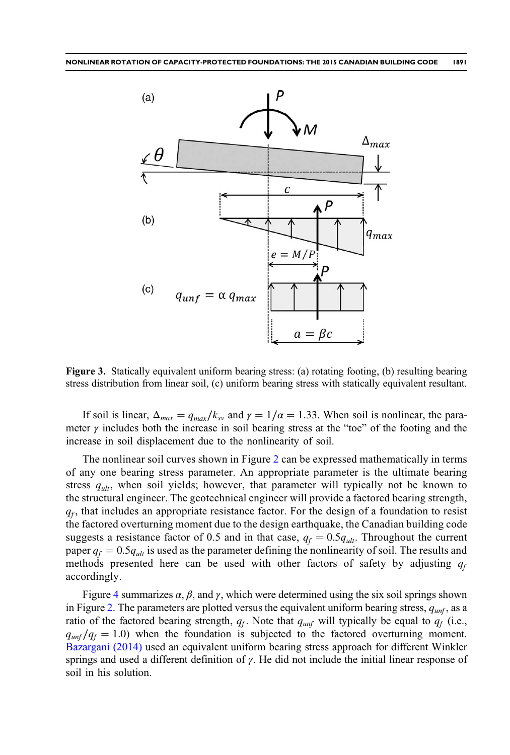<span id="page-6-0"></span>

Figure 3. Statically equivalent uniform bearing stress: (a) rotating footing, (b) resulting bearing stress distribution from linear soil, (c) uniform bearing stress with statically equivalent resultant.

If soil is linear,  $\Delta_{max} = q_{max}/k_{sv}$  and  $\gamma = 1/\alpha = 1.33$ . When soil is nonlinear, the parameter  $\gamma$  includes both the increase in soil bearing stress at the "toe" of the footing and the increase in soil displacement due to the nonlinearity of soil.

The nonlinear soil curves shown in Figure [2](#page-5-0) can be expressed mathematically in terms of any one bearing stress parameter. An appropriate parameter is the ultimate bearing stress  $q_{ult}$ , when soil yields; however, that parameter will typically not be known to the structural engineer. The geotechnical engineer will provide a factored bearing strength,  $q_f$ , that includes an appropriate resistance factor. For the design of a foundation to resist the factored overturning moment due to the design earthquake, the Canadian building code suggests a resistance factor of 0.5 and in that case,  $q_f = 0.5q_{ult}$ . Throughout the current paper  $q_f = 0.5q_{ult}$  is used as the parameter defining the nonlinearity of soil. The results and methods presented here can be used with other factors of safety by adjusting  $q_f$ accordingly.

Figure [4](#page-7-0) summarizes  $\alpha$ ,  $\beta$ , and  $\gamma$ , which were determined using the six soil springs shown in Figure [2](#page-5-0). The parameters are plotted versus the equivalent uniform bearing stress,  $q_{unf}$ , as a ratio of the factored bearing strength,  $q_f$ . Note that  $q_{unf}$  will typically be equal to  $q_f$  (i.e.,  $q_{unf}/q_f = 1.0$ ) when the foundation is subjected to the factored overturning moment. [Bazargani \(2014\)](#page-21-0) used an equivalent uniform bearing stress approach for different Winkler springs and used a different definition of  $\gamma$ . He did not include the initial linear response of soil in his solution.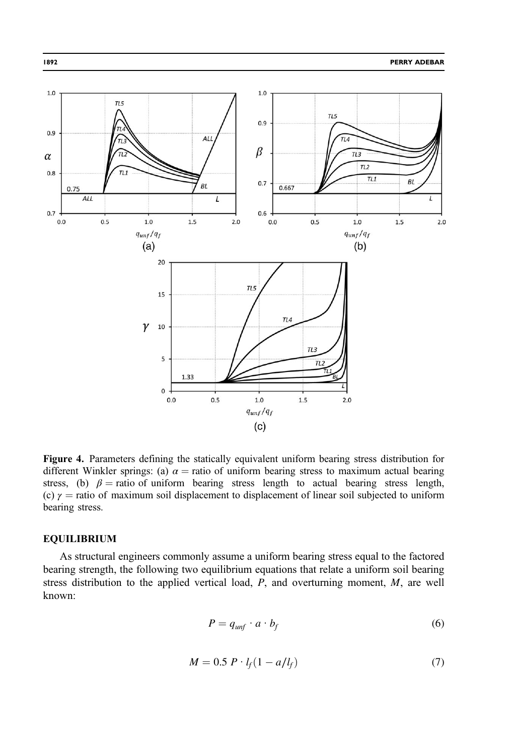<span id="page-7-0"></span>

Figure 4. Parameters defining the statically equivalent uniform bearing stress distribution for different Winkler springs: (a)  $\alpha$  = ratio of uniform bearing stress to maximum actual bearing stress, (b)  $\beta$  = ratio of uniform bearing stress length to actual bearing stress length, (c)  $\gamma$  = ratio of maximum soil displacement to displacement of linear soil subjected to uniform bearing stress.

# EQUILIBRIUM

As structural engineers commonly assume a uniform bearing stress equal to the factored bearing strength, the following two equilibrium equations that relate a uniform soil bearing stress distribution to the applied vertical load,  $P$ , and overturning moment,  $M$ , are well known:

$$
P = q_{unf} \cdot a \cdot b_f \tag{6}
$$

$$
M = 0.5 P \cdot l_f (1 - a/l_f) \tag{7}
$$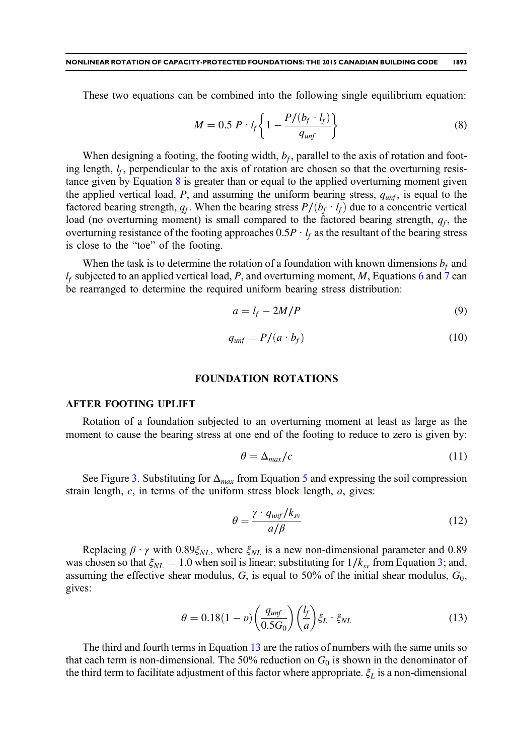<span id="page-8-0"></span>These two equations can be combined into the following single equilibrium equation:

$$
M = 0.5 P \cdot l_f \left\{ 1 - \frac{P/(b_f \cdot l_f)}{q_{unf}} \right\}
$$
 (8)

When designing a footing, the footing width,  $b_f$ , parallel to the axis of rotation and footing length,  $l_f$ , perpendicular to the axis of rotation are chosen so that the overturning resistance given by Equation 8 is greater than or equal to the applied overturning moment given the applied vertical load, P, and assuming the uniform bearing stress,  $q_{unf}$ , is equal to the factored bearing strength,  $q_f$ . When the bearing stress  $P/(b_f \cdot l_f)$  due to a concentric vertical load (no overturning moment) is small compared to the factored bearing strength,  $q_f$ , the overturning resistance of the footing approaches  $0.5P \cdot l_f$  as the resultant of the bearing stress is close to the "toe" of the footing.

When the task is to determine the rotation of a foundation with known dimensions  $b_f$  and  $l_f$  subjected to an applied vertical load, P, and overturning moment, M, Equations [6](#page-7-0) and [7](#page-7-0) can be rearranged to determine the required uniform bearing stress distribution:

$$
a = l_f - 2M/P \tag{9}
$$

$$
q_{unf} = P/(a \cdot b_f) \tag{10}
$$

#### FOUNDATION ROTATIONS

#### AFTER FOOTING UPLIFT

Rotation of a foundation subjected to an overturning moment at least as large as the moment to cause the bearing stress at one end of the footing to reduce to zero is given by:

$$
\theta = \Delta_{max}/c \tag{11}
$$

See Figure [3.](#page-6-0) Substituting for  $\Delta_{max}$  from Equation [5](#page-5-0) and expressing the soil compression strain length,  $c$ , in terms of the uniform stress block length,  $a$ , gives:

$$
\theta = \frac{\gamma \cdot q_{unf}/k_{sv}}{a/\beta} \tag{12}
$$

Replacing  $\beta \cdot \gamma$  with 0.89 $\xi_{NL}$ , where  $\xi_{NL}$  is a new non-dimensional parameter and 0.89 was chosen so that  $\xi_{NL} = 1.0$  when soil is linear; substituting for  $1/k_{sv}$  from Equation [3;](#page-2-0) and, assuming the effective shear modulus,  $G<sub>1</sub>$ , is equal to 50% of the initial shear modulus,  $G<sub>0</sub>$ , gives:

$$
\theta = 0.18(1 - v) \left(\frac{q_{\text{unf}}}{0.5G_0}\right) \left(\frac{l_f}{a}\right) \xi_L \cdot \xi_{NL} \tag{13}
$$

The third and fourth terms in Equation 13 are the ratios of numbers with the same units so that each term is non-dimensional. The 50% reduction on  $G_0$  is shown in the denominator of the third term to facilitate adjustment of this factor where appropriate.  $\xi_L$  is a non-dimensional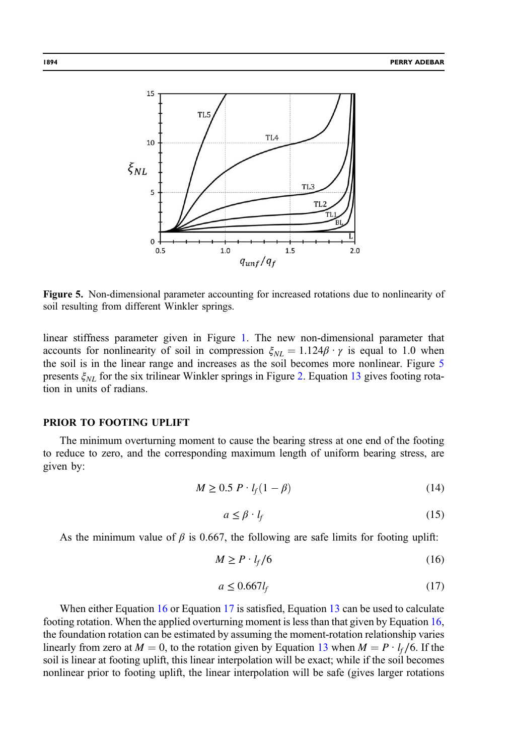<span id="page-9-0"></span>

Figure 5. Non-dimensional parameter accounting for increased rotations due to nonlinearity of soil resulting from different Winkler springs.

linear stiffness parameter given in Figure [1.](#page-4-0) The new non-dimensional parameter that accounts for nonlinearity of soil in compression  $\xi_{NL} = 1.124 \beta \cdot \gamma$  is equal to 1.0 when the soil is in the linear range and increases as the soil becomes more nonlinear. Figure 5 presents  $\xi_{NL}$  for the six trilinear Winkler springs in Figure [2.](#page-5-0) Equation [13](#page-8-0) gives footing rotation in units of radians.

#### PRIOR TO FOOTING UPLIFT

The minimum overturning moment to cause the bearing stress at one end of the footing to reduce to zero, and the corresponding maximum length of uniform bearing stress, are given by:

$$
M \ge 0.5 \, P \cdot l_f (1 - \beta) \tag{14}
$$

$$
a \le \beta \cdot l_f \tag{15}
$$

As the minimum value of  $\beta$  is 0.667, the following are safe limits for footing uplift:

$$
M \ge P \cdot l_f / 6 \tag{16}
$$

$$
a \le 0.667 l_f \tag{17}
$$

When either Equation 16 or Equation 17 is satisfied, Equation [13](#page-8-0) can be used to calculate footing rotation. When the applied overturning moment is less than that given by Equation 16, the foundation rotation can be estimated by assuming the moment-rotation relationship varies linearly from zero at  $M = 0$ , to the rotation given by Equation [13](#page-8-0) when  $M = P \cdot l_f / 6$ . If the soil is linear at footing uplift, this linear interpolation will be exact; while if the soil becomes nonlinear prior to footing uplift, the linear interpolation will be safe (gives larger rotations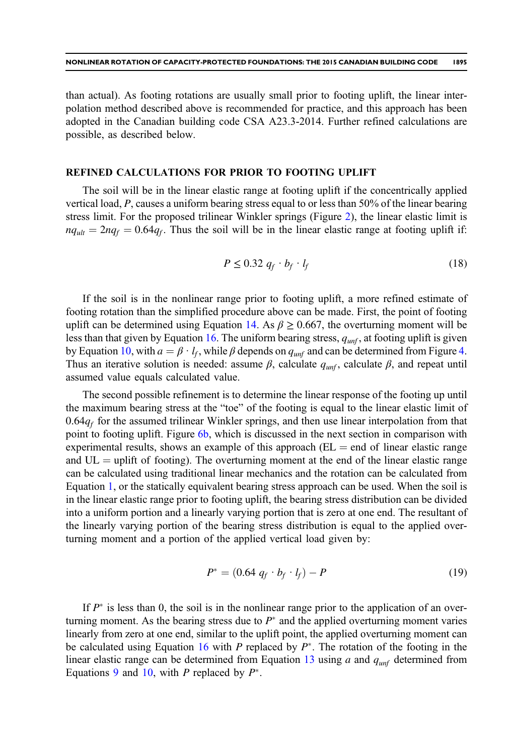<span id="page-10-0"></span>than actual). As footing rotations are usually small prior to footing uplift, the linear interpolation method described above is recommended for practice, and this approach has been adopted in the Canadian building code CSA A23.3-2014. Further refined calculations are possible, as described below.

#### REFINED CALCULATIONS FOR PRIOR TO FOOTING UPLIFT

The soil will be in the linear elastic range at footing uplift if the concentrically applied vertical load, P, causes a uniform bearing stress equal to or less than 50% of the linear bearing stress limit. For the proposed trilinear Winkler springs (Figure [2](#page-5-0)), the linear elastic limit is  $nq_{ult} = 2nq_f = 0.64q_f$ . Thus the soil will be in the linear elastic range at footing uplift if:

$$
P \le 0.32 q_f \cdot b_f \cdot l_f \tag{18}
$$

If the soil is in the nonlinear range prior to footing uplift, a more refined estimate of footing rotation than the simplified procedure above can be made. First, the point of footing uplift can be determined using Equation [14.](#page-9-0) As  $\beta \ge 0.667$ , the overturning moment will be less than that given by Equation [16](#page-9-0). The uniform bearing stress,  $q_{unf}$ , at footing uplift is given by Equation [10](#page-8-0), with  $a = \beta \cdot l_f$ , while  $\beta$  depends on  $q_{unf}$  and can be determined from Figure [4.](#page-7-0) Thus an iterative solution is needed: assume  $\beta$ , calculate  $q_{unf}$ , calculate  $\beta$ , and repeat until assumed value equals calculated value.

The second possible refinement is to determine the linear response of the footing up until the maximum bearing stress at the "toe" of the footing is equal to the linear elastic limit of  $0.64q<sub>f</sub>$  for the assumed trilinear Winkler springs, and then use linear interpolation from that point to footing uplift. Figure [6b](#page-11-0), which is discussed in the next section in comparison with experimental results, shows an example of this approach  $(EL = end of linear elastic range)$ and  $UL =$  uplift of footing). The overturning moment at the end of the linear elastic range can be calculated using traditional linear mechanics and the rotation can be calculated from Equation [1](#page-2-0), or the statically equivalent bearing stress approach can be used. When the soil is in the linear elastic range prior to footing uplift, the bearing stress distribution can be divided into a uniform portion and a linearly varying portion that is zero at one end. The resultant of the linearly varying portion of the bearing stress distribution is equal to the applied overturning moment and a portion of the applied vertical load given by:

$$
P^* = (0.64 \, q_f \cdot b_f \cdot l_f) - P \tag{19}
$$

If  $P^*$  is less than 0, the soil is in the nonlinear range prior to the application of an overturning moment. As the bearing stress due to  $P^*$  and the applied overturning moment varies linearly from zero at one end, similar to the uplift point, the applied overturning moment can be calculated using Equation [16](#page-9-0) with P replaced by  $P^*$ . The rotation of the footing in the linear elastic range can be determined from Equation [13](#page-8-0) using a and  $q_{unf}$  determined from Equations [9](#page-8-0) and [10,](#page-8-0) with P replaced by  $P^*$ .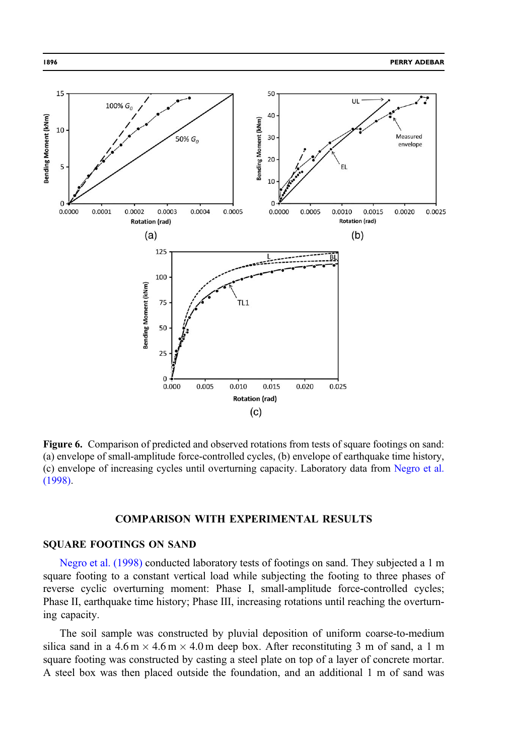<span id="page-11-0"></span>

Figure 6. Comparison of predicted and observed rotations from tests of square footings on sand: (a) envelope of small-amplitude force-controlled cycles, (b) envelope of earthquake time history, (c) envelope of increasing cycles until overturning capacity. Laboratory data from [Negro et al.](#page-21-0) [\(1998\)](#page-21-0).

# COMPARISON WITH EXPERIMENTAL RESULTS

## SQUARE FOOTINGS ON SAND

[Negro et al. \(1998\)](#page-21-0) conducted laboratory tests of footings on sand. They subjected a 1 m square footing to a constant vertical load while subjecting the footing to three phases of reverse cyclic overturning moment: Phase I, small-amplitude force-controlled cycles; Phase II, earthquake time history; Phase III, increasing rotations until reaching the overturning capacity.

The soil sample was constructed by pluvial deposition of uniform coarse-to-medium silica sand in a  $4.6 \text{ m} \times 4.6 \text{ m} \times 4.0 \text{ m}$  deep box. After reconstituting 3 m of sand, a 1 m square footing was constructed by casting a steel plate on top of a layer of concrete mortar. A steel box was then placed outside the foundation, and an additional 1 m of sand was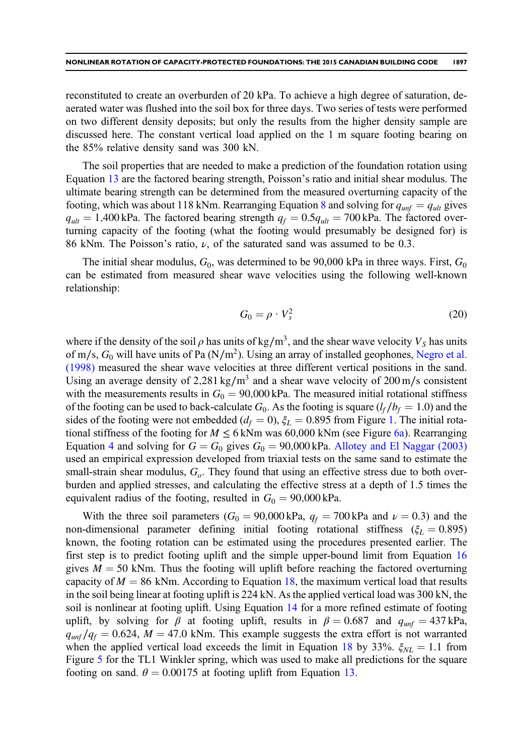reconstituted to create an overburden of 20 kPa. To achieve a high degree of saturation, deaerated water was flushed into the soil box for three days. Two series of tests were performed on two different density deposits; but only the results from the higher density sample are discussed here. The constant vertical load applied on the 1 m square footing bearing on the 85% relative density sand was 300 kN.

The soil properties that are needed to make a prediction of the foundation rotation using Equation [13](#page-8-0) are the factored bearing strength, Poisson's ratio and initial shear modulus. The ultimate bearing strength can be determined from the measured overturning capacity of the footing, which was about 11[8](#page-8-0) kNm. Rearranging Equation 8 and solving for  $q_{unf} = q_{ult}$  gives  $q_{ult} = 1,400$  kPa. The factored bearing strength  $q_f = 0.5q_{ult} = 700$  kPa. The factored overturning capacity of the footing (what the footing would presumably be designed for) is 86 kNm. The Poisson's ratio,  $\nu$ , of the saturated sand was assumed to be 0.3.

The initial shear modulus,  $G_0$ , was determined to be 90,000 kPa in three ways. First,  $G_0$ can be estimated from measured shear wave velocities using the following well-known relationship:

$$
G_0 = \rho \cdot V_s^2 \tag{20}
$$

where if the density of the soil  $\rho$  has units of kg/m<sup>3</sup>, and the shear wave velocity  $V_s$  has units of m/s,  $G_0$  will have units of Pa (N/m<sup>2</sup>). Using an array of installed geophones, [Negro et al.](#page-21-0) [\(1998\)](#page-21-0) measured the shear wave velocities at three different vertical positions in the sand. Using an average density of 2,281 kg/m<sup>3</sup> and a shear wave velocity of 200 m/s consistent with the measurements results in  $G_0 = 90,000$  kPa. The measured initial rotational stiffness of the footing can be used to back-calculate  $G_0$ . As the footing is square ( $l_f / b_f = 1.0$ ) and the sides of the footing were not embedded ( $d_f = 0$ ),  $\xi_L = 0.895$  from Figure [1.](#page-4-0) The initial rotational stiffness of the footing for  $M \le 6$  kNm was 60,000 kNm (see Figure [6a](#page-11-0)). Rearranging Equation [4](#page-3-0) and solving for  $G = G_0$  gives  $G_0 = 90,000$  kPa. [Allotey and El Naggar \(2003\)](#page-21-0) used an empirical expression developed from triaxial tests on the same sand to estimate the small-strain shear modulus,  $G<sub>o</sub>$ . They found that using an effective stress due to both overburden and applied stresses, and calculating the effective stress at a depth of 1.5 times the equivalent radius of the footing, resulted in  $G_0 = 90,000 \text{ kPa}$ .

With the three soil parameters ( $G_0 = 90,000 \text{ kPa}$ ,  $q_f = 700 \text{ kPa}$  and  $\nu = 0.3$ ) and the non-dimensional parameter defining initial footing rotational stiffness ( $\xi_L = 0.895$ ) known, the footing rotation can be estimated using the procedures presented earlier. The first step is to predict footing uplift and the simple upper-bound limit from Equation [16](#page-9-0) gives  $M = 50$  kNm. Thus the footing will uplift before reaching the factored overturning capacity of  $M = 86$  kNm. According to Equation [18](#page-10-0), the maximum vertical load that results in the soil being linear at footing uplift is 224 kN. As the applied vertical load was 300 kN, the soil is nonlinear at footing uplift. Using Equation [14](#page-9-0) for a more refined estimate of footing uplift, by solving for  $\beta$  at footing uplift, results in  $\beta = 0.687$  and  $q_{unf} = 437 \text{ kPa}$ ,  $q_{unf}/q_f = 0.624$ ,  $M = 47.0$  kNm. This example suggests the extra effort is not warranted when the applied vertical load exceeds the limit in Equation [18](#page-10-0) by 33%.  $\xi_{NL} = 1.1$  from Figure [5](#page-9-0) for the TL1 Winkler spring, which was used to make all predictions for the square footing on sand.  $\theta = 0.00175$  at footing uplift from Equation [13](#page-8-0).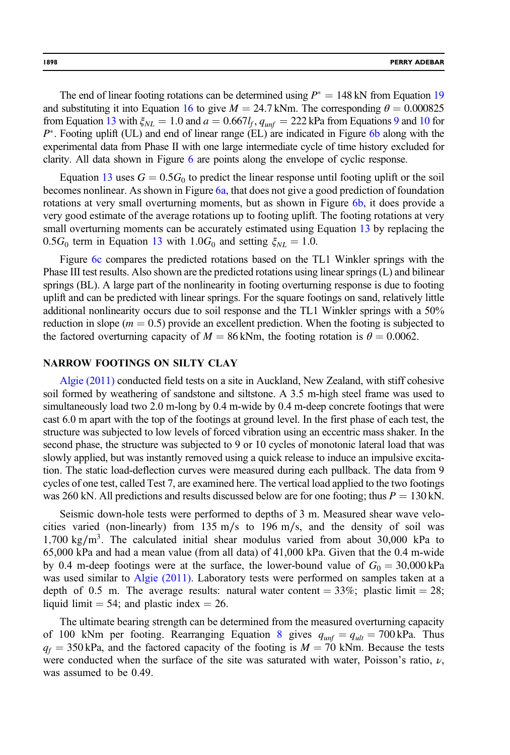The end of linear footing rotations can be determined using  $P^* = 148$  kN from Equation [19](#page-10-0) and substituting it into Equation [16](#page-9-0) to give  $M = 24.7$  kNm. The corresponding  $\theta = 0.000825$ from Equation [13](#page-8-0) with  $\xi_{NL} = 1.0$  and  $a = 0.667l_f$ ,  $q_{unf} = 222$  kPa from Equations [9](#page-8-0) and [10](#page-8-0) for  $P^*$ . Footing uplift (UL) and end of linear range (EL) are indicated in Figure [6b](#page-11-0) along with the experimental data from Phase II with one large intermediate cycle of time history excluded for clarity. All data shown in Figure [6](#page-11-0) are points along the envelope of cyclic response.

Equation [13](#page-8-0) uses  $G = 0.5G_0$  to predict the linear response until footing uplift or the soil becomes nonlinear. As shown in Figure [6a](#page-11-0), that does not give a good prediction of foundation rotations at very small overturning moments, but as shown in Figure [6b](#page-11-0), it does provide a very good estimate of the average rotations up to footing uplift. The footing rotations at very small overturning moments can be accurately estimated using Equation [13](#page-8-0) by replacing the 0.5 $G_0$  term in Equation [13](#page-8-0) with 1.0 $G_0$  and setting  $\xi_{NL} = 1.0$ .

Figure [6c](#page-11-0) compares the predicted rotations based on the TL1 Winkler springs with the Phase III test results. Also shown are the predicted rotations using linear springs (L) and bilinear springs (BL). A large part of the nonlinearity in footing overturning response is due to footing uplift and can be predicted with linear springs. For the square footings on sand, relatively little additional nonlinearity occurs due to soil response and the TL1 Winkler springs with a 50% reduction in slope ( $m = 0.5$ ) provide an excellent prediction. When the footing is subjected to the factored overturning capacity of  $M = 86$  kNm, the footing rotation is  $\theta = 0.0062$ .

#### NARROW FOOTINGS ON SILTY CLAY

[Algie \(2011\)](#page-21-0) conducted field tests on a site in Auckland, New Zealand, with stiff cohesive soil formed by weathering of sandstone and siltstone. A 3.5 m-high steel frame was used to simultaneously load two 2.0 m-long by 0.4 m-wide by 0.4 m-deep concrete footings that were cast 6.0 m apart with the top of the footings at ground level. In the first phase of each test, the structure was subjected to low levels of forced vibration using an eccentric mass shaker. In the second phase, the structure was subjected to 9 or 10 cycles of monotonic lateral load that was slowly applied, but was instantly removed using a quick release to induce an impulsive excitation. The static load-deflection curves were measured during each pullback. The data from 9 cycles of one test, called Test 7, are examined here. The vertical load applied to the two footings was 260 kN. All predictions and results discussed below are for one footing; thus  $P = 130$  kN.

Seismic down-hole tests were performed to depths of 3 m. Measured shear wave velocities varied (non-linearly) from 135 m/s to 196 m/s, and the density of soil was 1,700 kg/m<sup>3</sup>. The calculated initial shear modulus varied from about 30,000 kPa to 65,000 kPa and had a mean value (from all data) of 41,000 kPa. Given that the 0.4 m-wide by 0.4 m-deep footings were at the surface, the lower-bound value of  $G_0 = 30,000 \text{ kPa}$ was used similar to [Algie \(2011\)](#page-21-0). Laboratory tests were performed on samples taken at a depth of 0.5 m. The average results: natural water content  $=$  33%; plastic limit  $=$  28; liquid limit  $= 54$ ; and plastic index  $= 26$ .

The ultimate bearing strength can be determined from the measured overturning capacity of 100 kNm per footing. Rearranging Equation [8](#page-8-0) gives  $q_{unf} = q_{ult} = 700 \text{ kPa}$ . Thus  $q_f = 350$  kPa, and the factored capacity of the footing is  $M = 70$  kNm. Because the tests were conducted when the surface of the site was saturated with water, Poisson's ratio,  $\nu$ , was assumed to be 0.49.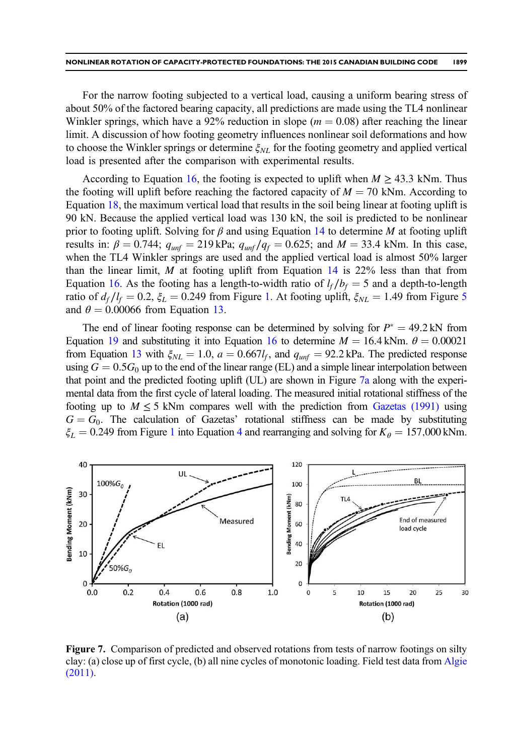<span id="page-14-0"></span>For the narrow footing subjected to a vertical load, causing a uniform bearing stress of about 50% of the factored bearing capacity, all predictions are made using the TL4 nonlinear Winkler springs, which have a 92% reduction in slope ( $m = 0.08$ ) after reaching the linear limit. A discussion of how footing geometry influences nonlinear soil deformations and how to choose the Winkler springs or determine  $\xi_{NL}$  for the footing geometry and applied vertical load is presented after the comparison with experimental results.

According to Equation [16,](#page-9-0) the footing is expected to uplift when  $M \geq 43.3$  kNm. Thus the footing will uplift before reaching the factored capacity of  $M = 70$  kNm. According to Equation [18](#page-10-0), the maximum vertical load that results in the soil being linear at footing uplift is 90 kN. Because the applied vertical load was 130 kN, the soil is predicted to be nonlinear prior to footing uplift. Solving for  $\beta$  and using Equation [14](#page-9-0) to determine M at footing uplift results in:  $\beta = 0.744$ ;  $q_{unf} = 219 \text{ kPa}$ ;  $q_{unf}/q_f = 0.625$ ; and  $M = 33.4 \text{ kNm}$ . In this case, when the TL4 Winkler springs are used and the applied vertical load is almost 50% larger than the linear limit,  $M$  at footing uplift from Equation [14](#page-9-0) is 22% less than that from Equation [16](#page-9-0). As the footing has a length-to-width ratio of  $l_f / b_f = 5$  and a depth-to-length ratio of  $d_f/l_f = 0.2$ ,  $\xi_L = 0.249$  from Figure [1.](#page-4-0) At footing uplift,  $\xi_{NL} = 1.49$  from Figure [5](#page-9-0) and  $\theta = 0.00066$  from Equation [13](#page-8-0).

The end of linear footing response can be determined by solving for  $P^* = 49.2 \text{ kN}$  from Equation [19](#page-10-0) and substituting it into Equation [16](#page-9-0) to determine  $M = 16.4$  kNm.  $\theta = 0.00021$ from Equation [13](#page-8-0) with  $\xi_{NL} = 1.0$ ,  $a = 0.667l_f$ , and  $q_{unf} = 92.2$  kPa. The predicted response using  $G = 0.5G_0$  up to the end of the linear range (EL) and a simple linear interpolation between that point and the predicted footing uplift (UL) are shown in Figure 7a along with the experimental data from the first cycle of lateral loading. The measured initial rotational stiffness of the footing up to  $M \leq 5$  kNm compares well with the prediction from [Gazetas \(1991\)](#page-21-0) using  $G = G_0$ . The calculation of Gazetas' rotational stiffness can be made by substituting  $\xi_L = 0.249$  $\xi_L = 0.249$  $\xi_L = 0.249$  from Figure [1](#page-4-0) into Equation 4 and rearranging and solving for  $K_\theta = 157,000$  kNm.



Figure 7. Comparison of predicted and observed rotations from tests of narrow footings on silty clay: (a) close up of first cycle, (b) all nine cycles of monotonic loading. Field test data from [Algie](#page-21-0) [\(2011\)](#page-21-0).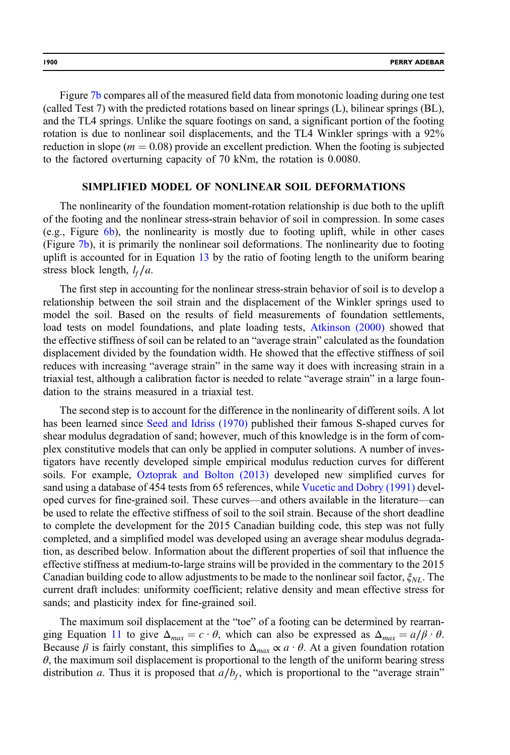Figure [7b](#page-14-0) compares all of the measured field data from monotonic loading during one test (called Test 7) with the predicted rotations based on linear springs (L), bilinear springs (BL), and the TL4 springs. Unlike the square footings on sand, a significant portion of the footing rotation is due to nonlinear soil displacements, and the TL4 Winkler springs with a 92% reduction in slope ( $m = 0.08$ ) provide an excellent prediction. When the footing is subjected to the factored overturning capacity of 70 kNm, the rotation is 0.0080.

#### SIMPLIFIED MODEL OF NONLINEAR SOIL DEFORMATIONS

The nonlinearity of the foundation moment-rotation relationship is due both to the uplift of the footing and the nonlinear stress-strain behavior of soil in compression. In some cases (e.g., Figure [6b](#page-11-0)), the nonlinearity is mostly due to footing uplift, while in other cases (Figure [7b](#page-14-0)), it is primarily the nonlinear soil deformations. The nonlinearity due to footing uplift is accounted for in Equation [13](#page-8-0) by the ratio of footing length to the uniform bearing stress block length,  $l_f/a$ .

The first step in accounting for the nonlinear stress-strain behavior of soil is to develop a relationship between the soil strain and the displacement of the Winkler springs used to model the soil. Based on the results of field measurements of foundation settlements, load tests on model foundations, and plate loading tests, [Atkinson \(2000\)](#page-21-0) showed that the effective stiffness of soil can be related to an "average strain" calculated as the foundation displacement divided by the foundation width. He showed that the effective stiffness of soil reduces with increasing "average strain" in the same way it does with increasing strain in a triaxial test, although a calibration factor is needed to relate "average strain" in a large foundation to the strains measured in a triaxial test.

The second step is to account for the difference in the nonlinearity of different soils. A lot has been learned since [Seed and Idriss \(1970\)](#page-21-0) published their famous S-shaped curves for shear modulus degradation of sand; however, much of this knowledge is in the form of complex constitutive models that can only be applied in computer solutions. A number of investigators have recently developed simple empirical modulus reduction curves for different soils. For example, [Oztoprak and Bolton \(2013\)](#page-21-0) developed new simplified curves for sand using a database of 454 tests from 65 references, while [Vucetic and Dobry \(1991\)](#page-22-0) developed curves for fine-grained soil. These curves—and others available in the literature—can be used to relate the effective stiffness of soil to the soil strain. Because of the short deadline to complete the development for the 2015 Canadian building code, this step was not fully completed, and a simplified model was developed using an average shear modulus degradation, as described below. Information about the different properties of soil that influence the effective stiffness at medium-to-large strains will be provided in the commentary to the 2015 Canadian building code to allow adjustments to be made to the nonlinear soil factor,  $\xi_{NL}$ . The current draft includes: uniformity coefficient; relative density and mean effective stress for sands; and plasticity index for fine-grained soil.

The maximum soil displacement at the "toe" of a footing can be determined by rearran-ging Equation [11](#page-8-0) to give  $\Delta_{max} = c \cdot \theta$ , which can also be expressed as  $\Delta_{max} = a/\beta \cdot \theta$ . Because  $\beta$  is fairly constant, this simplifies to  $\Delta_{max} \propto a \cdot \theta$ . At a given foundation rotation  $\theta$ , the maximum soil displacement is proportional to the length of the uniform bearing stress distribution a. Thus it is proposed that  $a/b<sub>f</sub>$ , which is proportional to the "average strain"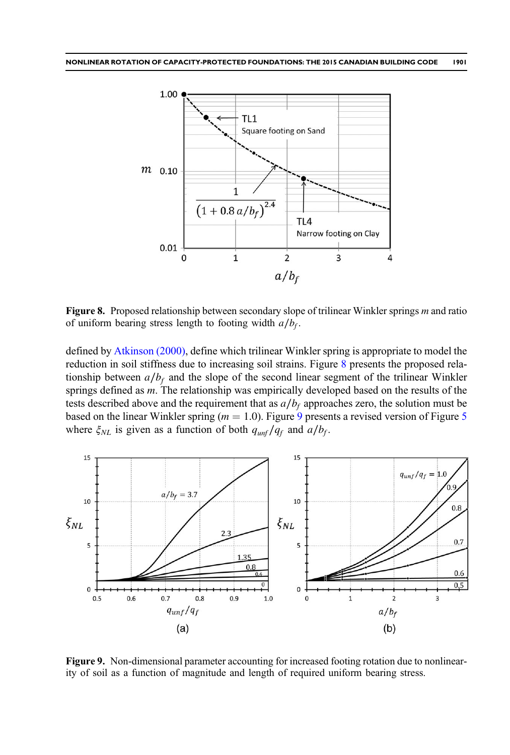<span id="page-16-0"></span>

Figure 8. Proposed relationship between secondary slope of trilinear Winkler springs m and ratio of uniform bearing stress length to footing width  $a/b_f$ .

defined by [Atkinson \(2000\),](#page-21-0) define which trilinear Winkler spring is appropriate to model the reduction in soil stiffness due to increasing soil strains. Figure 8 presents the proposed relationship between  $a/b_f$  and the slope of the second linear segment of the trilinear Winkler springs defined as m. The relationship was empirically developed based on the results of the tests described above and the requirement that as  $a/b_f$  approaches zero, the solution must be based on the linear Winkler spring ( $m = 1.0$ ). Figure 9 presents a revised version of Figure [5](#page-9-0) where  $\xi_{NL}$  is given as a function of both  $q_{unf}/q_f$  and  $a/b_f$ .



Figure 9. Non-dimensional parameter accounting for increased footing rotation due to nonlinearity of soil as a function of magnitude and length of required uniform bearing stress.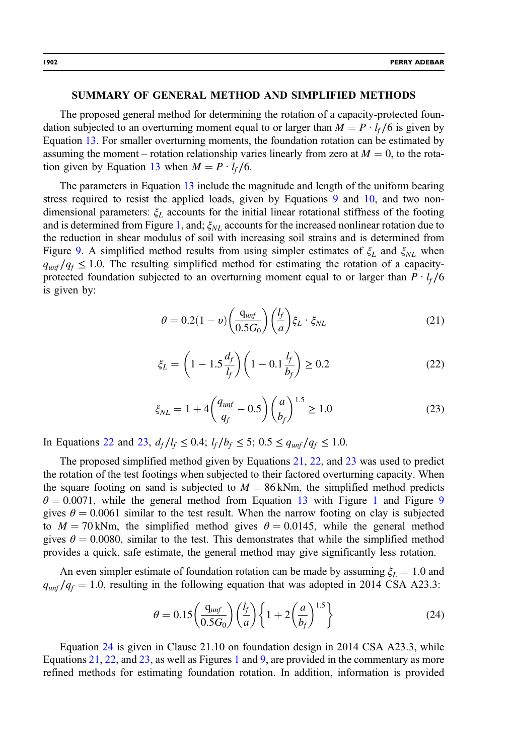#### <span id="page-17-0"></span>SUMMARY OF GENERAL METHOD AND SIMPLIFIED METHODS

The proposed general method for determining the rotation of a capacity-protected foundation subjected to an overturning moment equal to or larger than  $M = P \cdot l_f / 6$  is given by Equation [13.](#page-8-0) For smaller overturning moments, the foundation rotation can be estimated by assuming the moment – rotation relationship varies linearly from zero at  $M = 0$ , to the rota-tion given by Equation [13](#page-8-0) when  $M = P \cdot l_f / 6$ .

The parameters in Equation [13](#page-8-0) include the magnitude and length of the uniform bearing stress required to resist the applied loads, given by Equations [9](#page-8-0) and [10](#page-8-0), and two nondimensional parameters:  $\xi_L$  accounts for the initial linear rotational stiffness of the footing and is determined from Figure [1,](#page-4-0) and;  $\xi_{NL}$  accounts for the increased nonlinear rotation due to the reduction in shear modulus of soil with increasing soil strains and is determined from Figure [9](#page-16-0). A simplified method results from using simpler estimates of  $\xi_L$  and  $\xi_{NL}$  when  $q_{unf}/q_f \leq 1.0$ . The resulting simplified method for estimating the rotation of a capacityprotected foundation subjected to an overturning moment equal to or larger than  $P \cdot l_f / 6$ is given by:

$$
\theta = 0.2(1 - v) \left(\frac{q_{unf}}{0.5G_0}\right) \left(\frac{l_f}{a}\right) \xi_L \cdot \xi_{NL}
$$
\n(21)

$$
\xi_L = \left(1 - 1.5 \frac{d_f}{l_f}\right) \left(1 - 0.1 \frac{l_f}{b_f}\right) \ge 0.2\tag{22}
$$

$$
\xi_{NL} = 1 + 4 \left( \frac{q_{unf}}{q_f} - 0.5 \right) \left( \frac{a}{b_f} \right)^{1.5} \ge 1.0 \tag{23}
$$

In Equations 22 and 23,  $d_f/l_f \leq 0.4$ ;  $l_f/b_f \leq 5$ ;  $0.5 \leq q_{unf}/q_f \leq 1.0$ .

The proposed simplified method given by Equations 21, 22, and 23 was used to predict the rotation of the test footings when subjected to their factored overturning capacity. When the square footing on sand is subjected to  $M = 86$  kNm, the simplified method predicts  $\theta = 0.0071$  $\theta = 0.0071$ , while the general method from Equation [13](#page-8-0) with Figure 1 and Figure [9](#page-16-0) gives  $\theta = 0.0061$  similar to the test result. When the narrow footing on clay is subjected to  $M = 70$  kNm, the simplified method gives  $\theta = 0.0145$ , while the general method gives  $\theta = 0.0080$ , similar to the test. This demonstrates that while the simplified method provides a quick, safe estimate, the general method may give significantly less rotation.

An even simpler estimate of foundation rotation can be made by assuming  $\xi_L = 1.0$  and  $q_{unf}/q_f = 1.0$ , resulting in the following equation that was adopted in 2014 CSA A23.3:

$$
\theta = 0.15 \left( \frac{q_{unf}}{0.5G_0} \right) \left( \frac{l_f}{a} \right) \left\{ 1 + 2 \left( \frac{a}{b_f} \right)^{1.5} \right\} \tag{24}
$$

Equation 24 is given in Clause 21.10 on foundation design in 2014 CSA A23.3, while Equations 21, 22, and 23, as well as Figures [1](#page-4-0) and [9](#page-16-0), are provided in the commentary as more refined methods for estimating foundation rotation. In addition, information is provided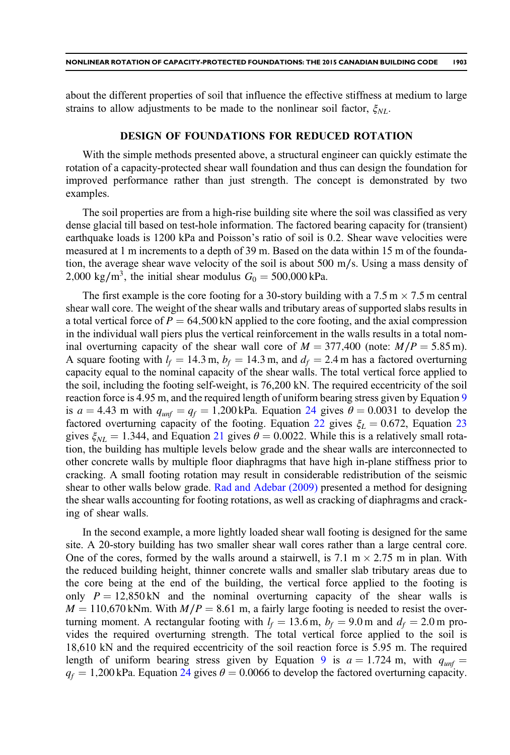about the different properties of soil that influence the effective stiffness at medium to large strains to allow adjustments to be made to the nonlinear soil factor,  $\xi_{NL}$ .

#### DESIGN OF FOUNDATIONS FOR REDUCED ROTATION

With the simple methods presented above, a structural engineer can quickly estimate the rotation of a capacity-protected shear wall foundation and thus can design the foundation for improved performance rather than just strength. The concept is demonstrated by two examples.

The soil properties are from a high-rise building site where the soil was classified as very dense glacial till based on test-hole information. The factored bearing capacity for (transient) earthquake loads is 1200 kPa and Poisson's ratio of soil is 0.2. Shear wave velocities were measured at 1 m increments to a depth of 39 m. Based on the data within 15 m of the foundation, the average shear wave velocity of the soil is about 500 m∕s. Using a mass density of 2,000 kg/m<sup>3</sup>, the initial shear modulus  $G_0 = 500,000$  kPa.

The first example is the core footing for a 30-story building with a 7.5 m  $\times$  7.5 m central shear wall core. The weight of the shear walls and tributary areas of supported slabs results in a total vertical force of  $P = 64,500 \text{ kN}$  applied to the core footing, and the axial compression in the individual wall piers plus the vertical reinforcement in the walls results in a total nominal overturning capacity of the shear wall core of  $M = 377,400$  (note:  $M/P = 5.85$  m). A square footing with  $l_f = 14.3$  m,  $b_f = 14.3$  m, and  $d_f = 2.4$  m has a factored overturning capacity equal to the nominal capacity of the shear walls. The total vertical force applied to the soil, including the footing self-weight, is 76,200 kN. The required eccentricity of the soil reaction force is 4.95 m, and the required length of uniform bearing stress given by Equation [9](#page-8-0) is  $a = 4.43$  m with  $q_{unf} = q_f = 1,200$  kPa. Equation [24](#page-17-0) gives  $\theta = 0.0031$  to develop the factored overturning capacity of the footing. Equation [22](#page-17-0) gives  $\xi_L = 0.672$ , Equation [23](#page-17-0) gives  $\xi_{NL} = 1.344$ , and Equation [21](#page-17-0) gives  $\theta = 0.0022$ . While this is a relatively small rotation, the building has multiple levels below grade and the shear walls are interconnected to other concrete walls by multiple floor diaphragms that have high in-plane stiffness prior to cracking. A small footing rotation may result in considerable redistribution of the seismic shear to other walls below grade. [Rad and Adebar \(2009\)](#page-21-0) presented a method for designing the shear walls accounting for footing rotations, as well as cracking of diaphragms and cracking of shear walls.

In the second example, a more lightly loaded shear wall footing is designed for the same site. A 20-story building has two smaller shear wall cores rather than a large central core. One of the cores, formed by the walls around a stairwell, is 7.1 m  $\times$  2.75 m in plan. With the reduced building height, thinner concrete walls and smaller slab tributary areas due to the core being at the end of the building, the vertical force applied to the footing is only  $P = 12,850 \text{ kN}$  and the nominal overturning capacity of the shear walls is  $M = 110,670$  kNm. With  $M/P = 8.61$  m, a fairly large footing is needed to resist the overturning moment. A rectangular footing with  $l_f = 13.6$  m,  $b_f = 9.0$  m and  $d_f = 2.0$  m provides the required overturning strength. The total vertical force applied to the soil is 18,610 kN and the required eccentricity of the soil reaction force is 5.95 m. The required length of uniform bearing stress given by Equation [9](#page-8-0) is  $a = 1.724$  m, with  $q_{unf} =$  $q_f = 1,200$  kPa. Equation [24](#page-17-0) gives  $\theta = 0.0066$  to develop the factored overturning capacity.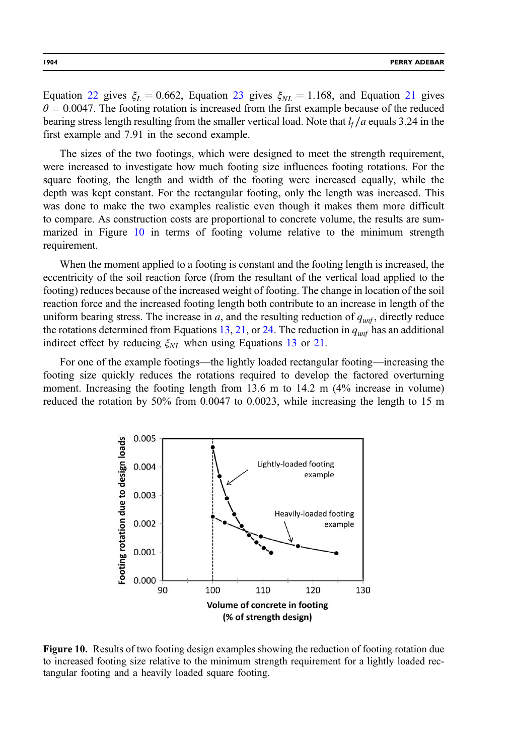Equation [22](#page-17-0) gives  $\xi_L = 0.662$ , Equation [23](#page-17-0) gives  $\xi_{NL} = 1.168$ , and Equation [21](#page-17-0) gives  $\theta = 0.0047$ . The footing rotation is increased from the first example because of the reduced bearing stress length resulting from the smaller vertical load. Note that  $l_f/a$  equals 3.24 in the first example and 7.91 in the second example.

The sizes of the two footings, which were designed to meet the strength requirement, were increased to investigate how much footing size influences footing rotations. For the square footing, the length and width of the footing were increased equally, while the depth was kept constant. For the rectangular footing, only the length was increased. This was done to make the two examples realistic even though it makes them more difficult to compare. As construction costs are proportional to concrete volume, the results are summarized in Figure 10 in terms of footing volume relative to the minimum strength requirement.

When the moment applied to a footing is constant and the footing length is increased, the eccentricity of the soil reaction force (from the resultant of the vertical load applied to the footing) reduces because of the increased weight of footing. The change in location of the soil reaction force and the increased footing length both contribute to an increase in length of the uniform bearing stress. The increase in a, and the resulting reduction of  $q_{unf}$ , directly reduce the rotations determined from Equations [13](#page-8-0), [21,](#page-17-0) or [24.](#page-17-0) The reduction in  $q_{unf}$  has an additional indirect effect by reducing  $\xi_{NL}$  when using Equations [13](#page-8-0) or [21.](#page-17-0)

For one of the example footings—the lightly loaded rectangular footing—increasing the footing size quickly reduces the rotations required to develop the factored overturning moment. Increasing the footing length from 13.6 m to 14.2 m (4% increase in volume) reduced the rotation by 50% from 0.0047 to 0.0023, while increasing the length to 15 m



Figure 10. Results of two footing design examples showing the reduction of footing rotation due to increased footing size relative to the minimum strength requirement for a lightly loaded rectangular footing and a heavily loaded square footing.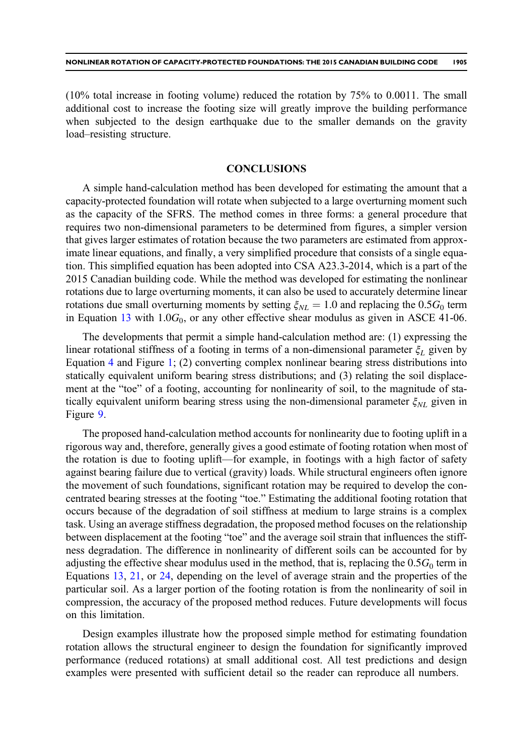(10% total increase in footing volume) reduced the rotation by 75% to 0.0011. The small additional cost to increase the footing size will greatly improve the building performance when subjected to the design earthquake due to the smaller demands on the gravity load–resisting structure.

# **CONCLUSIONS**

A simple hand-calculation method has been developed for estimating the amount that a capacity-protected foundation will rotate when subjected to a large overturning moment such as the capacity of the SFRS. The method comes in three forms: a general procedure that requires two non-dimensional parameters to be determined from figures, a simpler version that gives larger estimates of rotation because the two parameters are estimated from approximate linear equations, and finally, a very simplified procedure that consists of a single equation. This simplified equation has been adopted into CSA A23.3-2014, which is a part of the 2015 Canadian building code. While the method was developed for estimating the nonlinear rotations due to large overturning moments, it can also be used to accurately determine linear rotations due small overturning moments by setting  $\xi_{NL} = 1.0$  and replacing the 0.5 $G_0$  term in Equation [13](#page-8-0) with  $1.0G_0$ , or any other effective shear modulus as given in ASCE 41-06.

The developments that permit a simple hand-calculation method are: (1) expressing the linear rotational stiffness of a footing in terms of a non-dimensional parameter  $\xi_L$  given by Equation [4](#page-3-0) and Figure [1](#page-4-0); (2) converting complex nonlinear bearing stress distributions into statically equivalent uniform bearing stress distributions; and (3) relating the soil displacement at the "toe" of a footing, accounting for nonlinearity of soil, to the magnitude of statically equivalent uniform bearing stress using the non-dimensional parameter  $\xi_{NL}$  given in Figure [9.](#page-16-0)

The proposed hand-calculation method accounts for nonlinearity due to footing uplift in a rigorous way and, therefore, generally gives a good estimate of footing rotation when most of the rotation is due to footing uplift—for example, in footings with a high factor of safety against bearing failure due to vertical (gravity) loads. While structural engineers often ignore the movement of such foundations, significant rotation may be required to develop the concentrated bearing stresses at the footing "toe." Estimating the additional footing rotation that occurs because of the degradation of soil stiffness at medium to large strains is a complex task. Using an average stiffness degradation, the proposed method focuses on the relationship between displacement at the footing "toe" and the average soil strain that influences the stiffness degradation. The difference in nonlinearity of different soils can be accounted for by adjusting the effective shear modulus used in the method, that is, replacing the  $0.5G_0$  term in Equations [13](#page-8-0), [21](#page-17-0), or [24,](#page-17-0) depending on the level of average strain and the properties of the particular soil. As a larger portion of the footing rotation is from the nonlinearity of soil in compression, the accuracy of the proposed method reduces. Future developments will focus on this limitation.

Design examples illustrate how the proposed simple method for estimating foundation rotation allows the structural engineer to design the foundation for significantly improved performance (reduced rotations) at small additional cost. All test predictions and design examples were presented with sufficient detail so the reader can reproduce all numbers.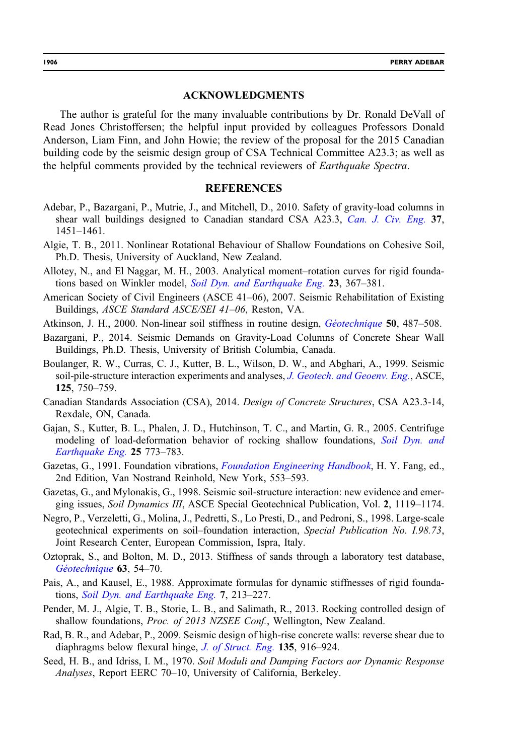#### ACKNOWLEDGMENTS

<span id="page-21-0"></span>The author is grateful for the many invaluable contributions by Dr. Ronald DeVall of Read Jones Christoffersen; the helpful input provided by colleagues Professors Donald Anderson, Liam Finn, and John Howie; the review of the proposal for the 2015 Canadian building code by the seismic design group of CSA Technical Committee A23.3; as well as the helpful comments provided by the technical reviewers of Earthquake Spectra.

## **REFERENCES**

- Adebar, P., Bazargani, P., Mutrie, J., and Mitchell, D., 2010. Safety of gravity-load columns in shear wall buildings designed to Canadian standard CSA A23.3, Can. J. Civ. Eng. 37, 1451–1461.
- Algie, T. B., 2011. Nonlinear Rotational Behaviour of Shallow Foundations on Cohesive Soil, Ph.D. Thesis, University of Auckland, New Zealand.
- Allotey, N., and El Naggar, M. H., 2003. Analytical moment–rotation curves for rigid foundations based on Winkler model, *Soil Dyn. and Earthquake Eng.* 23, 367–381.
- American Society of Civil Engineers (ASCE 41–06), 2007. Seismic Rehabilitation of Existing Buildings, ASCE Standard ASCE/SEI 41–06, Reston, VA.
- Atkinson, J. H., 2000. Non-linear soil stiffness in routine design, *Géotechnique* **50**, 487–508.
- Bazargani, P., 2014. Seismic Demands on Gravity-Load Columns of Concrete Shear Wall Buildings, Ph.D. Thesis, University of British Columbia, Canada.
- Boulanger, R. W., Curras, C. J., Kutter, B. L., Wilson, D. W., and Abghari, A., 1999. Seismic soil-pile-structure interaction experiments and analyses, J. Geotech. and Geoenv. Eng., ASCE, 125, 750–759.
- Canadian Standards Association (CSA), 2014. Design of Concrete Structures, CSA A23.3-14, Rexdale, ON, Canada.
- Gajan, S., Kutter, B. L., Phalen, J. D., Hutchinson, T. C., and Martin, G. R., 2005. Centrifuge modeling of load-deformation behavior of rocking shallow foundations, Soil Dyn. and Earthquake Eng. 25 773–783.
- Gazetas, G., 1991. Foundation vibrations, *Foundation Engineering Handbook*, H. Y. Fang, ed., 2nd Edition, Van Nostrand Reinhold, New York, 553–593.
- Gazetas, G., and Mylonakis, G., 1998. Seismic soil-structure interaction: new evidence and emerging issues, Soil Dynamics III, ASCE Special Geotechnical Publication, Vol. 2, 1119–1174.
- Negro, P., Verzeletti, G., Molina, J., Pedretti, S., Lo Presti, D., and Pedroni, S., 1998. Large-scale geotechnical experiments on soil–foundation interaction, Special Publication No. I.98.73, Joint Research Center, European Commission, Ispra, Italy.
- Oztoprak, S., and Bolton, M. D., 2013. Stiffness of sands through a laboratory test database, Géotechnique 63, 54–70.
- Pais, A., and Kausel, E., 1988. Approximate formulas for dynamic stiffnesses of rigid foundations, Soil Dyn. and Earthquake Eng. 7, 213–227.
- Pender, M. J., Algie, T. B., Storie, L. B., and Salimath, R., 2013. Rocking controlled design of shallow foundations, Proc. of 2013 NZSEE Conf., Wellington, New Zealand.
- Rad, B. R., and Adebar, P., 2009. Seismic design of high-rise concrete walls: reverse shear due to diaphragms below flexural hinge, *J. of Struct. Eng.* 135, 916–924.
- Seed, H. B., and Idriss, I. M., 1970. Soil Moduli and Damping Factors aor Dynamic Response Analyses, Report EERC 70–10, University of California, Berkeley.